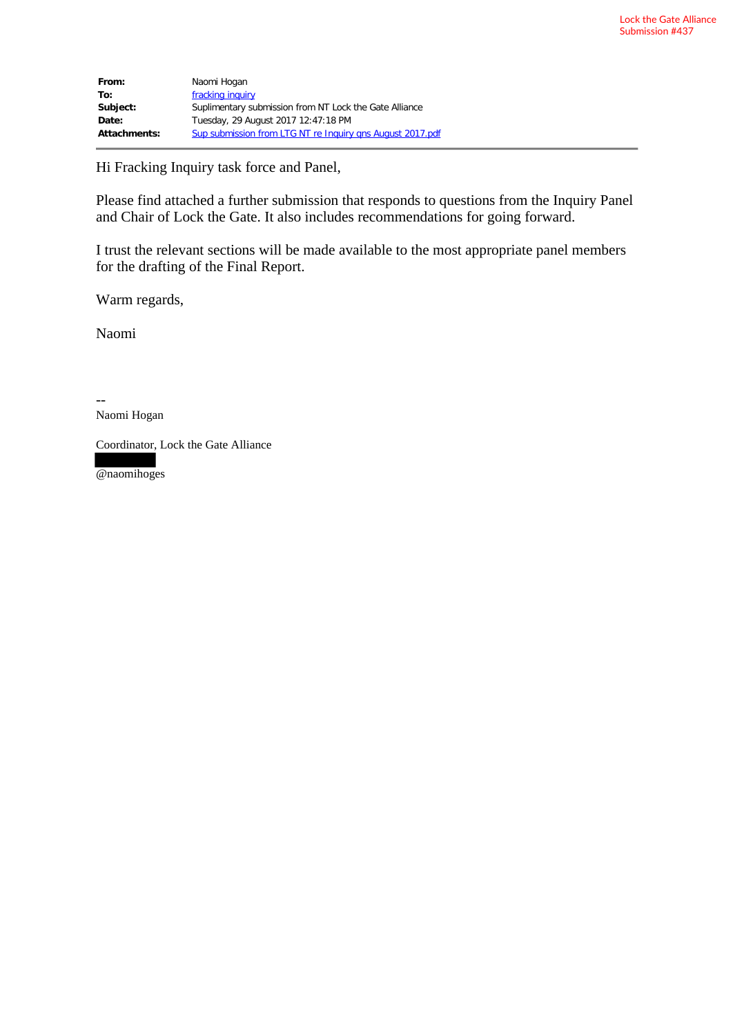| From:        | Naomi Hogan                                               |
|--------------|-----------------------------------------------------------|
| To:          | fracking inquiry                                          |
| Subject:     | Suplimentary submission from NT Lock the Gate Alliance    |
| Date:        | Tuesday, 29 August 2017 12:47:18 PM                       |
| Attachments: | Sup submission from LTG NT re Inquiry ans August 2017.pdf |

Hi Fracking Inquiry task force and Panel,

Please find attached a further submission that responds to questions from the Inquiry Panel and Chair of Lock the Gate. It also includes recommendations for going forward.

I trust the relevant sections will be made available to the most appropriate panel members for the drafting of the Final Report.

Warm regards,

Naomi

-- Naomi Hogan

Coordinator, Lock the Gate Alliance

@naomihoges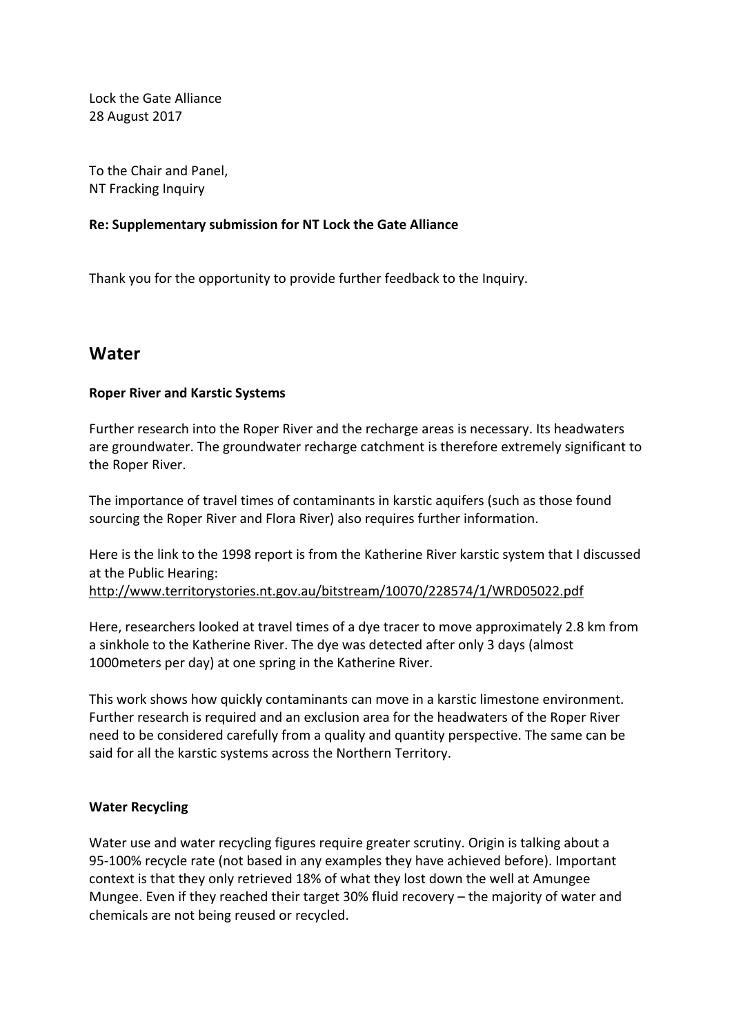Lock the Gate Alliance 28 August 2017

To the Chair and Panel. NT Fracking Inquiry

### **Re: Supplementary submission for NT Lock the Gate Alliance**

Thank you for the opportunity to provide further feedback to the Inquiry.

## **Water**

### **Roper River and Karstic Systems**

Further research into the Roper River and the recharge areas is necessary. Its headwaters are groundwater. The groundwater recharge catchment is therefore extremely significant to the Roper River.

The importance of travel times of contaminants in karstic aquifers (such as those found sourcing the Roper River and Flora River) also requires further information.

Here is the link to the 1998 report is from the Katherine River karstic system that I discussed at the Public Hearing:

http://www.territorystories.nt.gov.au/bitstream/10070/228574/1/WRD05022.pdf

Here, researchers looked at travel times of a dye tracer to move approximately 2.8 km from a sinkhole to the Katherine River. The dye was detected after only 3 days (almost 1000 meters per day) at one spring in the Katherine River.

This work shows how quickly contaminants can move in a karstic limestone environment. Further research is required and an exclusion area for the headwaters of the Roper River need to be considered carefully from a quality and quantity perspective. The same can be said for all the karstic systems across the Northern Territory.

### **Water Recycling**

Water use and water recycling figures require greater scrutiny. Origin is talking about a 95-100% recycle rate (not based in any examples they have achieved before). Important context is that they only retrieved 18% of what they lost down the well at Amungee Mungee. Even if they reached their target  $30\%$  fluid recovery – the majority of water and chemicals are not being reused or recycled.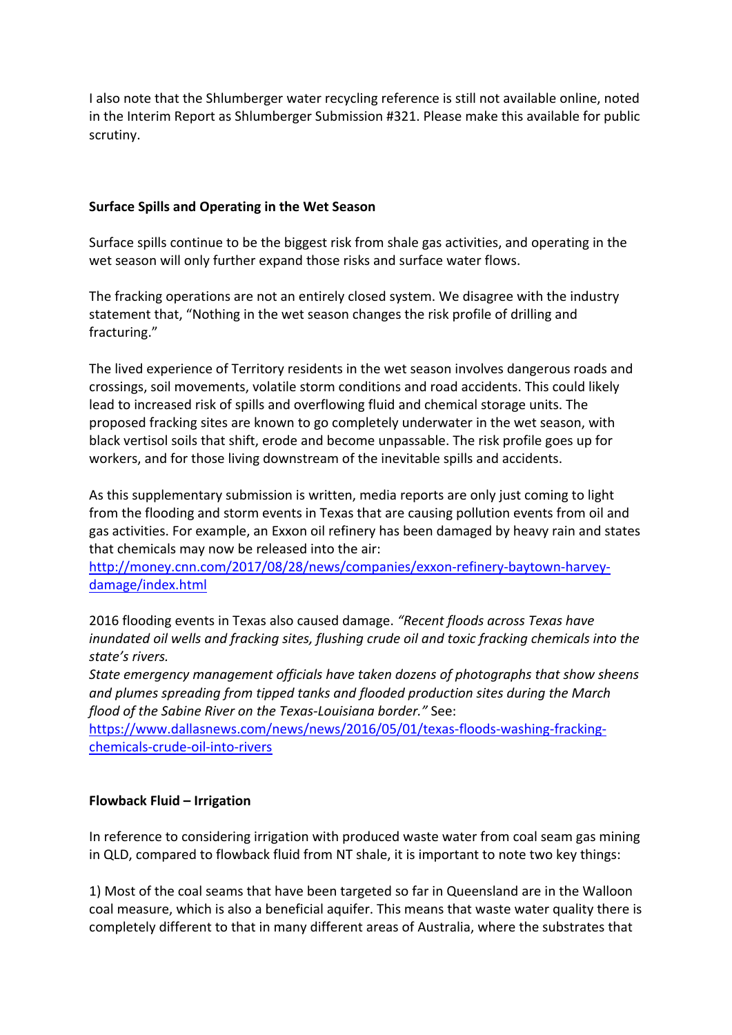I also note that the Shlumberger water recycling reference is still not available online, noted in the Interim Report as Shlumberger Submission #321. Please make this available for public scrutiny.

### **Surface Spills and Operating in the Wet Season**

Surface spills continue to be the biggest risk from shale gas activities, and operating in the wet season will only further expand those risks and surface water flows.

The fracking operations are not an entirely closed system. We disagree with the industry statement that, "Nothing in the wet season changes the risk profile of drilling and fracturing." 

The lived experience of Territory residents in the wet season involves dangerous roads and crossings, soil movements, volatile storm conditions and road accidents. This could likely lead to increased risk of spills and overflowing fluid and chemical storage units. The proposed fracking sites are known to go completely underwater in the wet season, with black vertisol soils that shift, erode and become unpassable. The risk profile goes up for workers, and for those living downstream of the inevitable spills and accidents.

As this supplementary submission is written, media reports are only just coming to light from the flooding and storm events in Texas that are causing pollution events from oil and gas activities. For example, an Exxon oil refinery has been damaged by heavy rain and states that chemicals may now be released into the air:

http://money.cnn.com/2017/08/28/news/companies/exxon-refinery-baytown-harveydamage/index.html

2016 flooding events in Texas also caused damage. "Recent floods across Texas have *inundated oil wells and fracking sites, flushing crude oil and toxic fracking chemicals into the state's rivers.*

*State emergency management officials have taken dozens of photographs that show sheens* and plumes spreading from tipped tanks and flooded production sites during the March *flood of the Sabine River on the Texas-Louisiana border."* See:

https://www.dallasnews.com/news/news/2016/05/01/texas-floods-washing-frackingchemicals-crude-oil-into-rivers

### **Flowback Fluid – Irrigation**

In reference to considering irrigation with produced waste water from coal seam gas mining in QLD, compared to flowback fluid from NT shale, it is important to note two key things:

1) Most of the coal seams that have been targeted so far in Queensland are in the Walloon coal measure, which is also a beneficial aquifer. This means that waste water quality there is completely different to that in many different areas of Australia, where the substrates that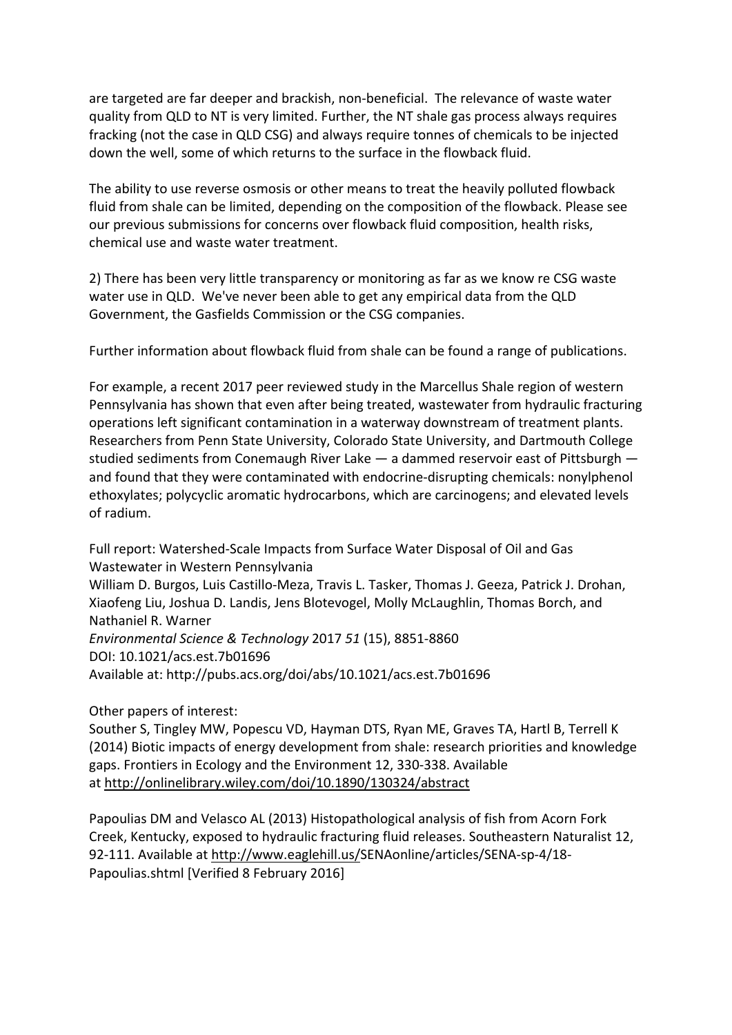are targeted are far deeper and brackish, non-beneficial. The relevance of waste water quality from QLD to NT is very limited. Further, the NT shale gas process always requires fracking (not the case in QLD CSG) and always require tonnes of chemicals to be injected down the well, some of which returns to the surface in the flowback fluid.

The ability to use reverse osmosis or other means to treat the heavily polluted flowback fluid from shale can be limited, depending on the composition of the flowback. Please see our previous submissions for concerns over flowback fluid composition, health risks, chemical use and waste water treatment.

2) There has been very little transparency or monitoring as far as we know re CSG waste water use in QLD. We've never been able to get any empirical data from the QLD Government, the Gasfields Commission or the CSG companies.

Further information about flowback fluid from shale can be found a range of publications.

For example, a recent 2017 peer reviewed study in the Marcellus Shale region of western Pennsylvania has shown that even after being treated, wastewater from hydraulic fracturing operations left significant contamination in a waterway downstream of treatment plants. Researchers from Penn State University, Colorado State University, and Dartmouth College studied sediments from Conemaugh River Lake  $-$  a dammed reservoir east of Pittsburgh  $$ and found that they were contaminated with endocrine-disrupting chemicals: nonylphenol ethoxylates; polycyclic aromatic hydrocarbons, which are carcinogens; and elevated levels of radium.

Full report: Watershed-Scale Impacts from Surface Water Disposal of Oil and Gas Wastewater in Western Pennsylvania William D. Burgos, Luis Castillo-Meza, Travis L. Tasker, Thomas J. Geeza, Patrick J. Drohan, Xiaofeng Liu, Joshua D. Landis, Jens Blotevogel, Molly McLaughlin, Thomas Borch, and Nathaniel R. Warner *Environmental Science & Technology* 2017 *51* (15), 8851-8860 DOI: 10.1021/acs.est.7b01696 Available at: http://pubs.acs.org/doi/abs/10.1021/acs.est.7b01696

Other papers of interest:

Souther S, Tingley MW, Popescu VD, Hayman DTS, Ryan ME, Graves TA, Hartl B, Terrell K (2014) Biotic impacts of energy development from shale: research priorities and knowledge gaps. Frontiers in Ecology and the Environment 12, 330-338. Available at http://onlinelibrary.wiley.com/doi/10.1890/130324/abstract

Papoulias DM and Velasco AL (2013) Histopathological analysis of fish from Acorn Fork Creek, Kentucky, exposed to hydraulic fracturing fluid releases. Southeastern Naturalist 12, 92-111. Available at http://www.eaglehill.us/SENAonline/articles/SENA-sp-4/18-Papoulias.shtml [Verified 8 February 2016]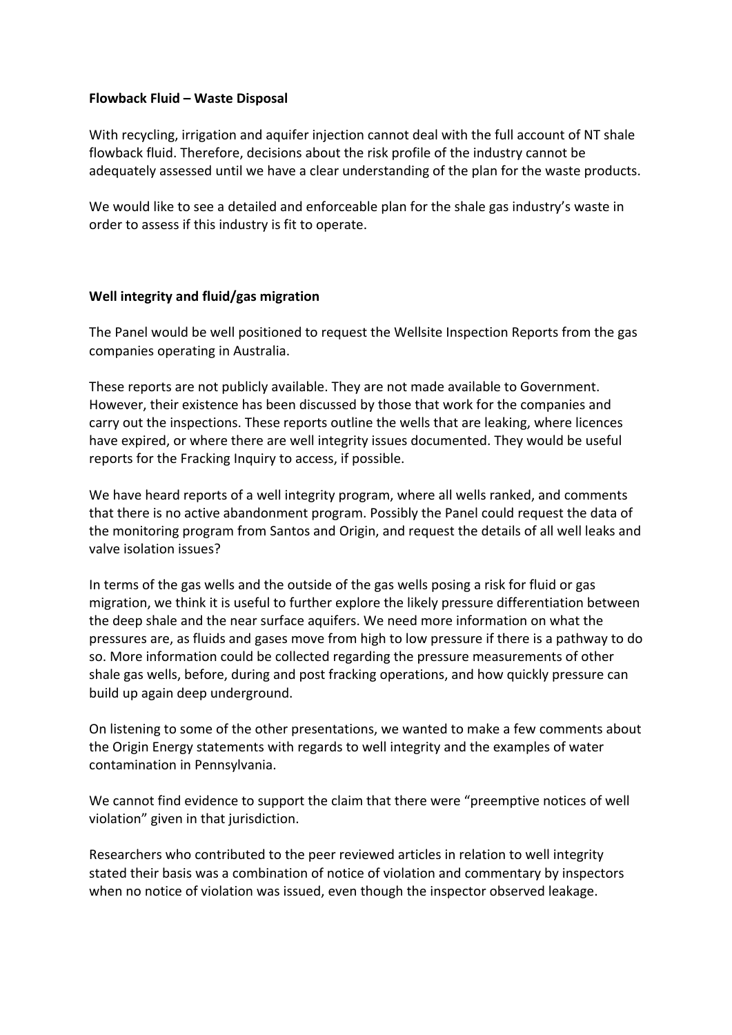### **Flowback Fluid – Waste Disposal**

With recycling, irrigation and aquifer injection cannot deal with the full account of NT shale flowback fluid. Therefore, decisions about the risk profile of the industry cannot be adequately assessed until we have a clear understanding of the plan for the waste products.

We would like to see a detailed and enforceable plan for the shale gas industry's waste in order to assess if this industry is fit to operate.

### **Well integrity and fluid/gas migration**

The Panel would be well positioned to request the Wellsite Inspection Reports from the gas companies operating in Australia.

These reports are not publicly available. They are not made available to Government. However, their existence has been discussed by those that work for the companies and carry out the inspections. These reports outline the wells that are leaking, where licences have expired, or where there are well integrity issues documented. They would be useful reports for the Fracking Inquiry to access, if possible.

We have heard reports of a well integrity program, where all wells ranked, and comments that there is no active abandonment program. Possibly the Panel could request the data of the monitoring program from Santos and Origin, and request the details of all well leaks and valve isolation issues?

In terms of the gas wells and the outside of the gas wells posing a risk for fluid or gas migration, we think it is useful to further explore the likely pressure differentiation between the deep shale and the near surface aquifers. We need more information on what the pressures are, as fluids and gases move from high to low pressure if there is a pathway to do so. More information could be collected regarding the pressure measurements of other shale gas wells, before, during and post fracking operations, and how quickly pressure can build up again deep underground.

On listening to some of the other presentations, we wanted to make a few comments about the Origin Energy statements with regards to well integrity and the examples of water contamination in Pennsylvania.

We cannot find evidence to support the claim that there were "preemptive notices of well violation" given in that jurisdiction.

Researchers who contributed to the peer reviewed articles in relation to well integrity stated their basis was a combination of notice of violation and commentary by inspectors when no notice of violation was issued, even though the inspector observed leakage.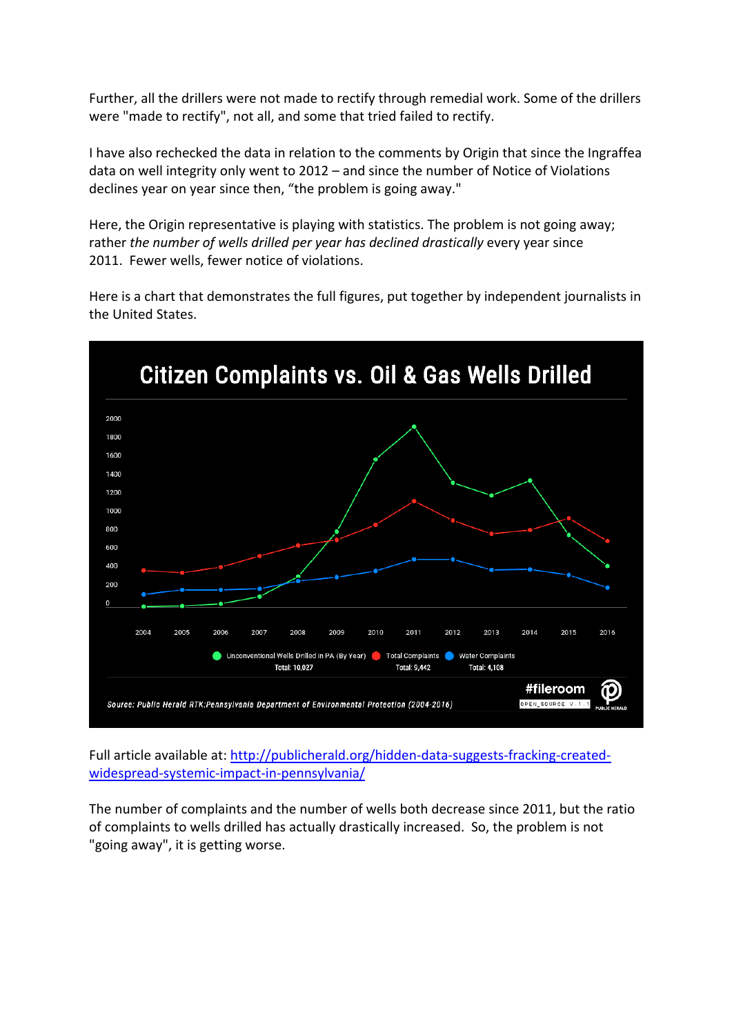Further, all the drillers were not made to rectify through remedial work. Some of the drillers were "made to rectify", not all, and some that tried failed to rectify.

I have also rechecked the data in relation to the comments by Origin that since the Ingraffea data on well integrity only went to  $2012$  – and since the number of Notice of Violations declines year on year since then, "the problem is going away."

Here, the Origin representative is playing with statistics. The problem is not going away; rather *the number of wells drilled per year has declined drastically* every year since 2011. Fewer wells, fewer notice of violations.

Here is a chart that demonstrates the full figures, put together by independent journalists in the United States.



Full article available at: http://publicherald.org/hidden-data-suggests-fracking-createdwidespread-systemic-impact-in-pennsylvania/

The number of complaints and the number of wells both decrease since 2011, but the ratio of complaints to wells drilled has actually drastically increased. So, the problem is not "going away", it is getting worse.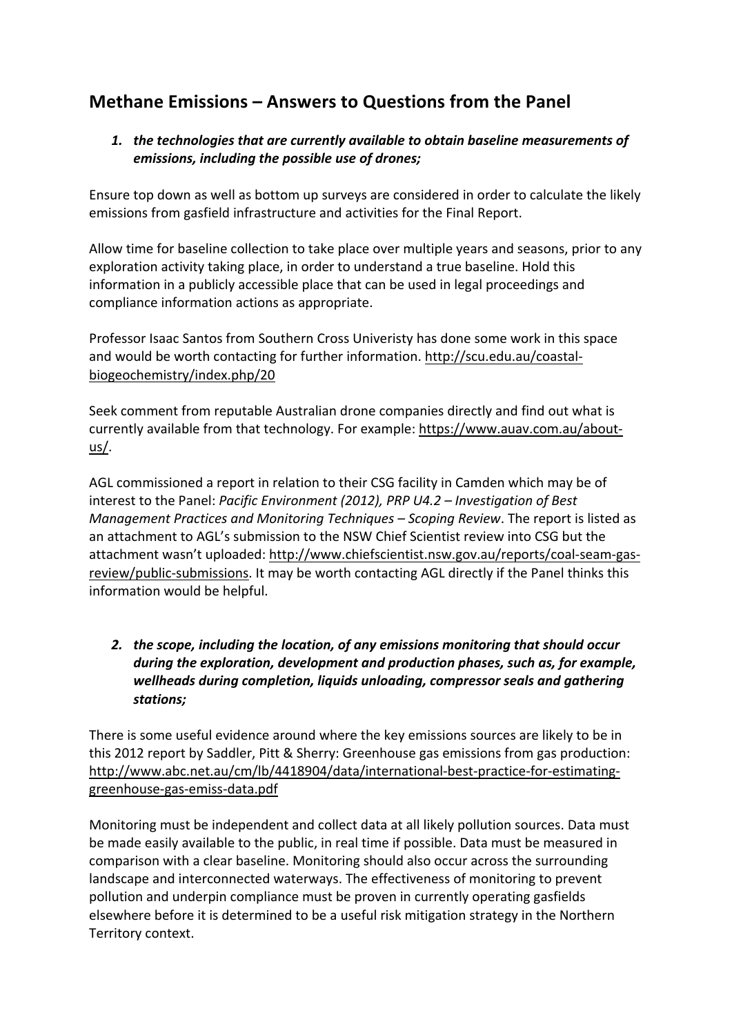# **Methane Emissions – Answers to Questions from the Panel**

## 1. the technologies that are currently available to obtain baseline measurements of emissions, including the possible use of drones;

Ensure top down as well as bottom up surveys are considered in order to calculate the likely emissions from gasfield infrastructure and activities for the Final Report.

Allow time for baseline collection to take place over multiple years and seasons, prior to any exploration activity taking place, in order to understand a true baseline. Hold this information in a publicly accessible place that can be used in legal proceedings and compliance information actions as appropriate.

Professor Isaac Santos from Southern Cross Univeristy has done some work in this space and would be worth contacting for further information. http://scu.edu.au/coastalbiogeochemistry/index.php/20

Seek comment from reputable Australian drone companies directly and find out what is currently available from that technology. For example: https://www.auav.com.au/aboutus/. 

AGL commissioned a report in relation to their CSG facility in Camden which may be of interest to the Panel: *Pacific Environment (2012), PRP U4.2* – *Investigation of Best Management Practices and Monitoring Techniques - Scoping Review. The report is listed as* an attachment to AGL's submission to the NSW Chief Scientist review into CSG but the attachment wasn't uploaded: http://www.chiefscientist.nsw.gov.au/reports/coal-seam-gasreview/public-submissions. It may be worth contacting AGL directly if the Panel thinks this information would be helpful.

## 2. the scope, including the location, of any emissions monitoring that should occur during the exploration, development and production phases, such as, for example, wellheads during completion, liquids unloading, compressor seals and gathering *stations;*

There is some useful evidence around where the key emissions sources are likely to be in this 2012 report by Saddler, Pitt & Sherry: Greenhouse gas emissions from gas production: http://www.abc.net.au/cm/lb/4418904/data/international-best-practice-for-estimatinggreenhouse-gas-emiss-data.pdf

Monitoring must be independent and collect data at all likely pollution sources. Data must be made easily available to the public, in real time if possible. Data must be measured in comparison with a clear baseline. Monitoring should also occur across the surrounding landscape and interconnected waterways. The effectiveness of monitoring to prevent pollution and underpin compliance must be proven in currently operating gasfields elsewhere before it is determined to be a useful risk mitigation strategy in the Northern Territory context.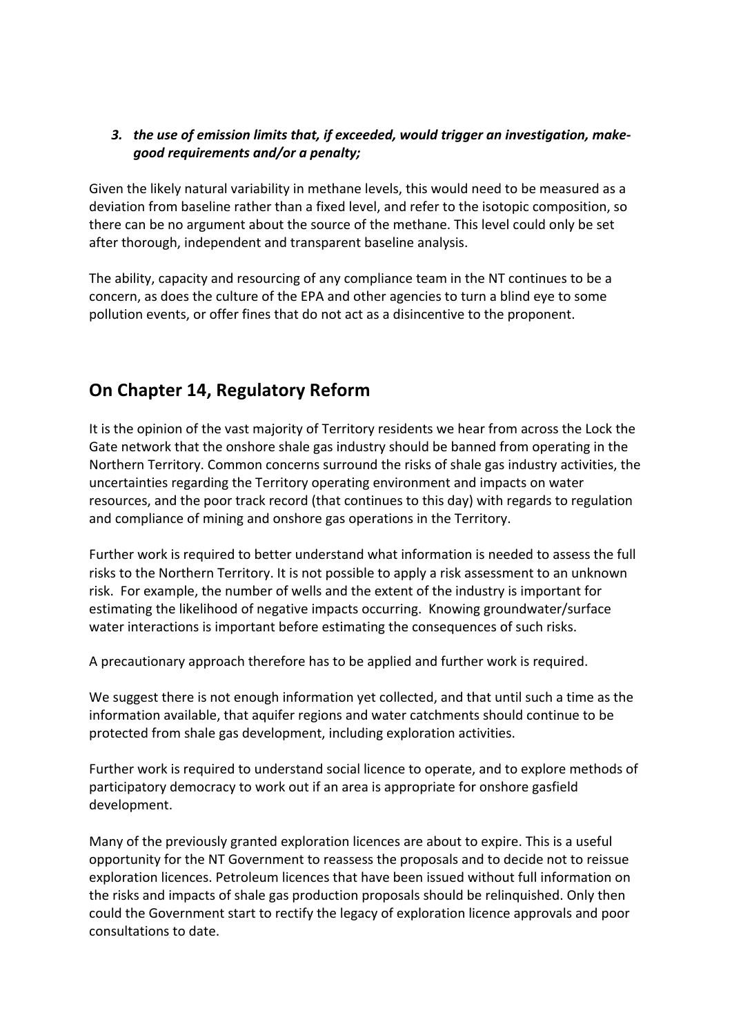## **3.** the use of emission limits that, if exceeded, would trigger an investigation, make*good requirements and/or a penalty;*

Given the likely natural variability in methane levels, this would need to be measured as a deviation from baseline rather than a fixed level, and refer to the isotopic composition, so there can be no argument about the source of the methane. This level could only be set after thorough, independent and transparent baseline analysis.

The ability, capacity and resourcing of any compliance team in the NT continues to be a concern, as does the culture of the EPA and other agencies to turn a blind eye to some pollution events, or offer fines that do not act as a disincentive to the proponent.

## **On Chapter 14, Regulatory Reform**

It is the opinion of the vast majority of Territory residents we hear from across the Lock the Gate network that the onshore shale gas industry should be banned from operating in the Northern Territory. Common concerns surround the risks of shale gas industry activities, the uncertainties regarding the Territory operating environment and impacts on water resources, and the poor track record (that continues to this day) with regards to regulation and compliance of mining and onshore gas operations in the Territory.

Further work is required to better understand what information is needed to assess the full risks to the Northern Territory. It is not possible to apply a risk assessment to an unknown risk. For example, the number of wells and the extent of the industry is important for estimating the likelihood of negative impacts occurring. Knowing groundwater/surface water interactions is important before estimating the consequences of such risks.

A precautionary approach therefore has to be applied and further work is required.

We suggest there is not enough information yet collected, and that until such a time as the information available, that aquifer regions and water catchments should continue to be protected from shale gas development, including exploration activities.

Further work is required to understand social licence to operate, and to explore methods of participatory democracy to work out if an area is appropriate for onshore gasfield development. 

Many of the previously granted exploration licences are about to expire. This is a useful opportunity for the NT Government to reassess the proposals and to decide not to reissue exploration licences. Petroleum licences that have been issued without full information on the risks and impacts of shale gas production proposals should be relinquished. Only then could the Government start to rectify the legacy of exploration licence approvals and poor consultations to date.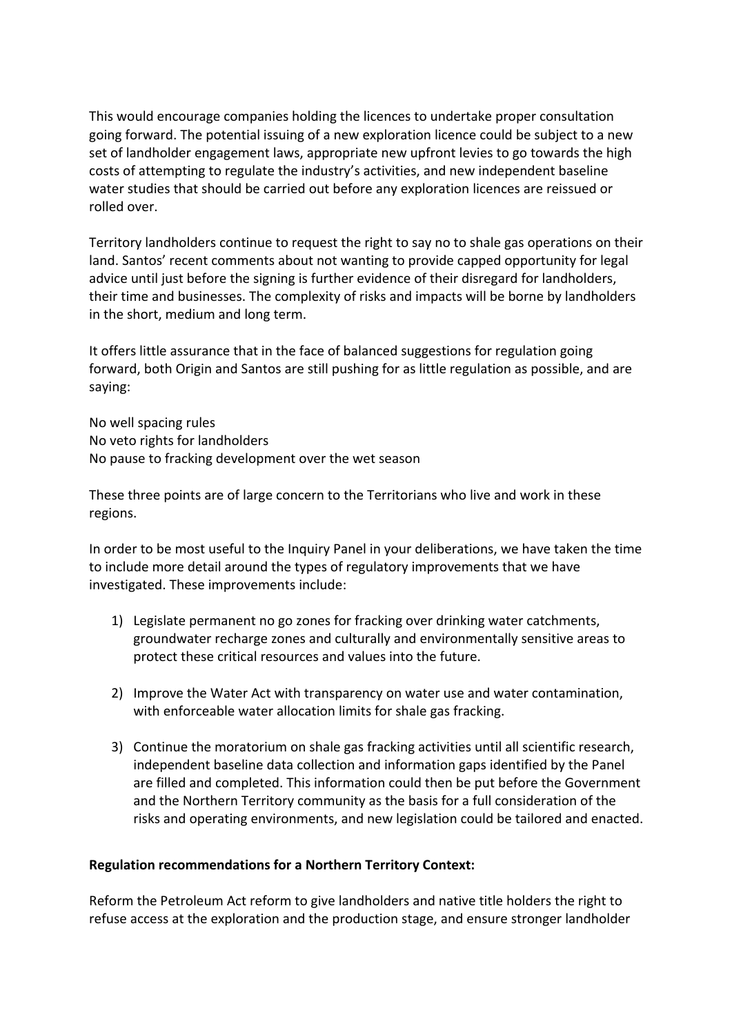This would encourage companies holding the licences to undertake proper consultation going forward. The potential issuing of a new exploration licence could be subject to a new set of landholder engagement laws, appropriate new upfront levies to go towards the high costs of attempting to regulate the industry's activities, and new independent baseline water studies that should be carried out before any exploration licences are reissued or rolled over.

Territory landholders continue to request the right to say no to shale gas operations on their land. Santos' recent comments about not wanting to provide capped opportunity for legal advice until just before the signing is further evidence of their disregard for landholders, their time and businesses. The complexity of risks and impacts will be borne by landholders in the short, medium and long term.

It offers little assurance that in the face of balanced suggestions for regulation going forward, both Origin and Santos are still pushing for as little regulation as possible, and are saying: 

No well spacing rules No veto rights for landholders No pause to fracking development over the wet season

These three points are of large concern to the Territorians who live and work in these regions. 

In order to be most useful to the Inquiry Panel in your deliberations, we have taken the time to include more detail around the types of regulatory improvements that we have investigated. These improvements include:

- 1) Legislate permanent no go zones for fracking over drinking water catchments, groundwater recharge zones and culturally and environmentally sensitive areas to protect these critical resources and values into the future.
- 2) Improve the Water Act with transparency on water use and water contamination, with enforceable water allocation limits for shale gas fracking.
- 3) Continue the moratorium on shale gas fracking activities until all scientific research, independent baseline data collection and information gaps identified by the Panel are filled and completed. This information could then be put before the Government and the Northern Territory community as the basis for a full consideration of the risks and operating environments, and new legislation could be tailored and enacted.

### **Regulation recommendations for a Northern Territory Context:**

Reform the Petroleum Act reform to give landholders and native title holders the right to refuse access at the exploration and the production stage, and ensure stronger landholder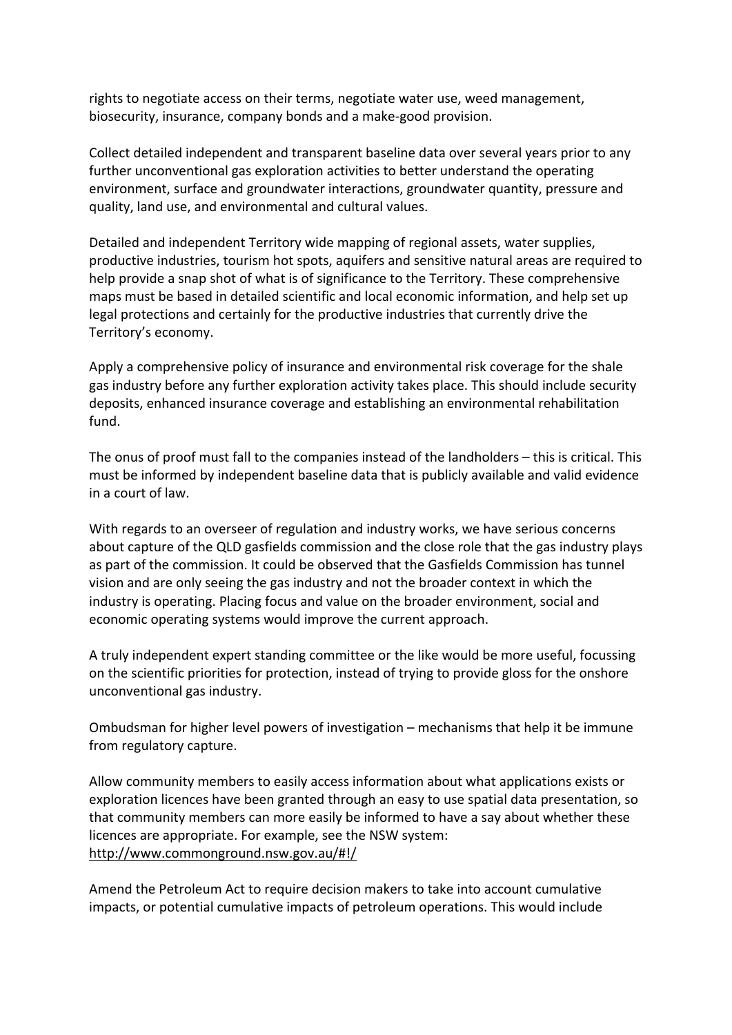rights to negotiate access on their terms, negotiate water use, weed management, biosecurity, insurance, company bonds and a make-good provision.

Collect detailed independent and transparent baseline data over several years prior to any further unconventional gas exploration activities to better understand the operating environment, surface and groundwater interactions, groundwater quantity, pressure and quality, land use, and environmental and cultural values.

Detailed and independent Territory wide mapping of regional assets, water supplies, productive industries, tourism hot spots, aquifers and sensitive natural areas are required to help provide a snap shot of what is of significance to the Territory. These comprehensive maps must be based in detailed scientific and local economic information, and help set up legal protections and certainly for the productive industries that currently drive the Territory's economy.

Apply a comprehensive policy of insurance and environmental risk coverage for the shale gas industry before any further exploration activity takes place. This should include security deposits, enhanced insurance coverage and establishing an environmental rehabilitation fund.

The onus of proof must fall to the companies instead of the landholders  $-$  this is critical. This must be informed by independent baseline data that is publicly available and valid evidence in a court of law.

With regards to an overseer of regulation and industry works, we have serious concerns about capture of the QLD gasfields commission and the close role that the gas industry plays as part of the commission. It could be observed that the Gasfields Commission has tunnel vision and are only seeing the gas industry and not the broader context in which the industry is operating. Placing focus and value on the broader environment, social and economic operating systems would improve the current approach.

A truly independent expert standing committee or the like would be more useful, focussing on the scientific priorities for protection, instead of trying to provide gloss for the onshore unconventional gas industry.

Ombudsman for higher level powers of investigation – mechanisms that help it be immune from regulatory capture.

Allow community members to easily access information about what applications exists or exploration licences have been granted through an easy to use spatial data presentation, so that community members can more easily be informed to have a say about whether these licences are appropriate. For example, see the NSW system: http://www.commonground.nsw.gov.au/#!/

Amend the Petroleum Act to require decision makers to take into account cumulative impacts, or potential cumulative impacts of petroleum operations. This would include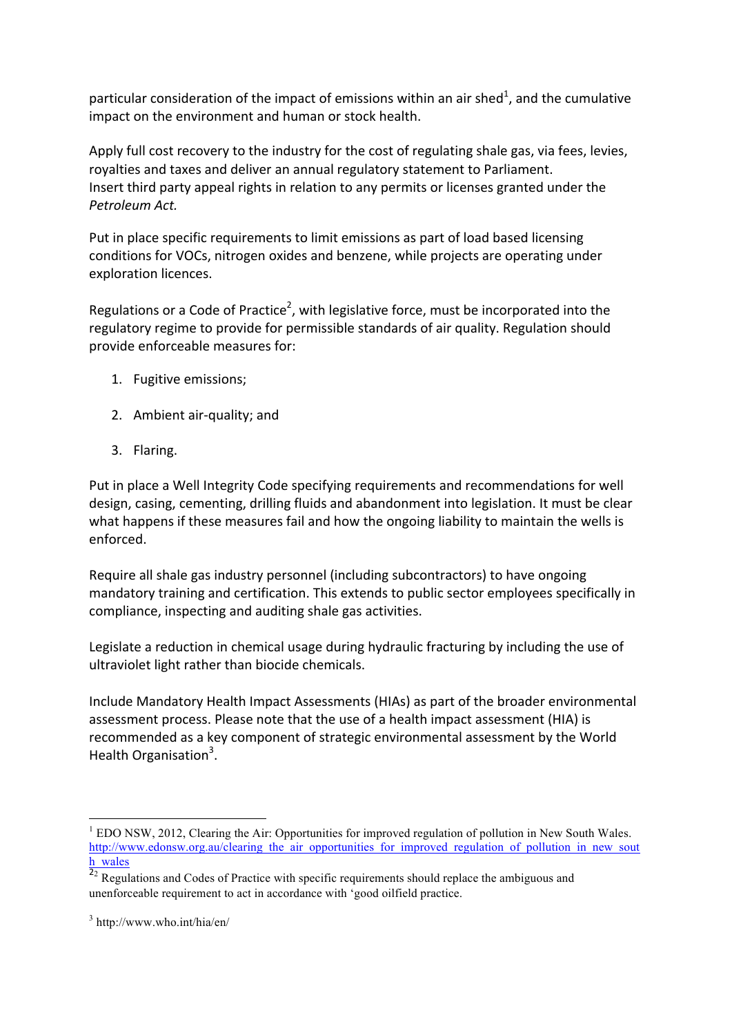particular consideration of the impact of emissions within an air shed<sup>1</sup>, and the cumulative impact on the environment and human or stock health.

Apply full cost recovery to the industry for the cost of regulating shale gas, via fees, levies, royalties and taxes and deliver an annual regulatory statement to Parliament. Insert third party appeal rights in relation to any permits or licenses granted under the *Petroleum Act.*

Put in place specific requirements to limit emissions as part of load based licensing conditions for VOCs, nitrogen oxides and benzene, while projects are operating under exploration licences.

Regulations or a Code of Practice<sup>2</sup>, with legislative force, must be incorporated into the regulatory regime to provide for permissible standards of air quality. Regulation should provide enforceable measures for:

- 1. Fugitive emissions;
- 2. Ambient air-quality: and
- 3. Flaring.

Put in place a Well Integrity Code specifying requirements and recommendations for well design, casing, cementing, drilling fluids and abandonment into legislation. It must be clear what happens if these measures fail and how the ongoing liability to maintain the wells is enforced.

Require all shale gas industry personnel (including subcontractors) to have ongoing mandatory training and certification. This extends to public sector employees specifically in compliance, inspecting and auditing shale gas activities.

Legislate a reduction in chemical usage during hydraulic fracturing by including the use of ultraviolet light rather than biocide chemicals.

Include Mandatory Health Impact Assessments (HIAs) as part of the broader environmental assessment process. Please note that the use of a health impact assessment (HIA) is recommended as a key component of strategic environmental assessment by the World Health Organisation<sup>3</sup>.

<sup>&</sup>lt;sup>1</sup> EDO NSW, 2012, Clearing the Air: Opportunities for improved regulation of pollution in New South Wales. http://www.edonsw.org.au/clearing\_the\_air\_opportunities\_for\_improved\_regulation\_of\_pollution\_in\_new\_sout h\_wales

 $\frac{2}{2}$  Regulations and Codes of Practice with specific requirements should replace the ambiguous and unenforceable requirement to act in accordance with 'good oilfield practice.

<sup>3</sup> http://www.who.int/hia/en/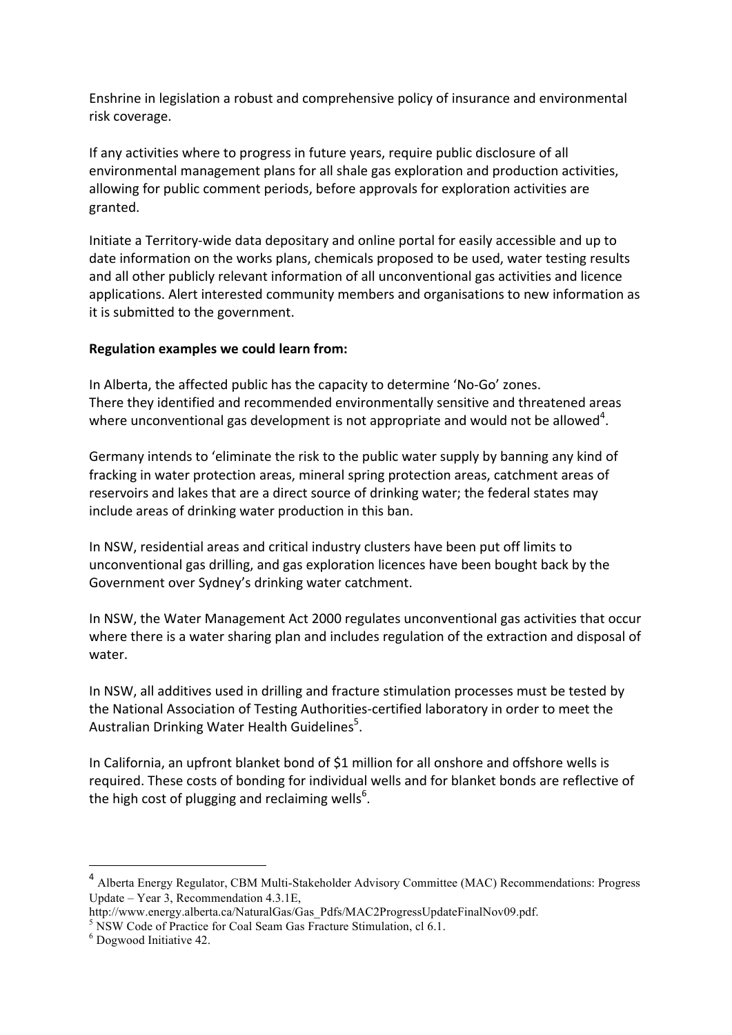Enshrine in legislation a robust and comprehensive policy of insurance and environmental risk coverage.

If any activities where to progress in future years, require public disclosure of all environmental management plans for all shale gas exploration and production activities, allowing for public comment periods, before approvals for exploration activities are granted. 

Initiate a Territory-wide data depositary and online portal for easily accessible and up to date information on the works plans, chemicals proposed to be used, water testing results and all other publicly relevant information of all unconventional gas activities and licence applications. Alert interested community members and organisations to new information as it is submitted to the government.

### **Regulation examples we could learn from:**

In Alberta, the affected public has the capacity to determine 'No-Go' zones. There they identified and recommended environmentally sensitive and threatened areas where unconventional gas development is not appropriate and would not be allowed<sup>4</sup>.

Germany intends to 'eliminate the risk to the public water supply by banning any kind of fracking in water protection areas, mineral spring protection areas, catchment areas of reservoirs and lakes that are a direct source of drinking water; the federal states may include areas of drinking water production in this ban.

In NSW, residential areas and critical industry clusters have been put off limits to unconventional gas drilling, and gas exploration licences have been bought back by the Government over Sydney's drinking water catchment.

In NSW, the Water Management Act 2000 regulates unconventional gas activities that occur where there is a water sharing plan and includes regulation of the extraction and disposal of water. 

In NSW, all additives used in drilling and fracture stimulation processes must be tested by the National Association of Testing Authorities-certified laboratory in order to meet the Australian Drinking Water Health Guidelines<sup>5</sup>.

In California, an upfront blanket bond of \$1 million for all onshore and offshore wells is required. These costs of bonding for individual wells and for blanket bonds are reflective of the high cost of plugging and reclaiming wells $^6$ .

 $\overline{a}$ 

<sup>4</sup> Alberta Energy Regulator, CBM Multi-Stakeholder Advisory Committee (MAC) Recommendations: Progress Update – Year 3, Recommendation 4.3.1E,

http://www.energy.alberta.ca/NaturalGas/Gas\_Pdfs/MAC2ProgressUpdateFinalNov09.pdf.

<sup>&</sup>lt;sup>5</sup> NSW Code of Practice for Coal Seam Gas Fracture Stimulation, cl 6.1.

<sup>6</sup> Dogwood Initiative 42.